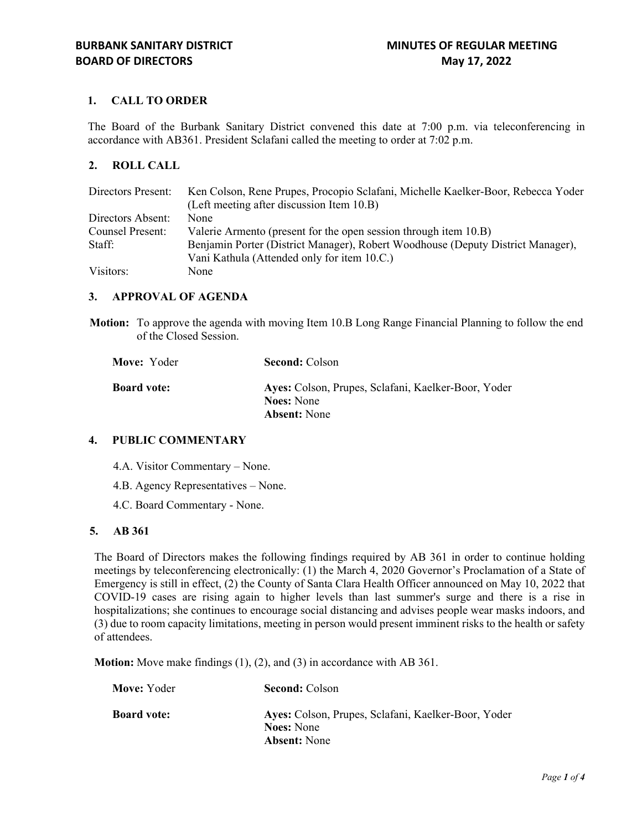# **1. CALL TO ORDER**

The Board of the Burbank Sanitary District convened this date at 7:00 p.m. via teleconferencing in accordance with AB361. President Sclafani called the meeting to order at 7:02 p.m.

### **2. ROLL CALL**

| Directors Present:      | Ken Colson, Rene Prupes, Procopio Sclafani, Michelle Kaelker-Boor, Rebecca Yoder |
|-------------------------|----------------------------------------------------------------------------------|
|                         | (Left meeting after discussion Item 10.B)                                        |
| Directors Absent:       | None                                                                             |
| <b>Counsel Present:</b> | Valerie Armento (present for the open session through item 10.B)                 |
| Staff:                  | Benjamin Porter (District Manager), Robert Woodhouse (Deputy District Manager),  |
|                         | Vani Kathula (Attended only for item 10.C.)                                      |
| Visitors:               | None                                                                             |

### **3. APPROVAL OF AGENDA**

**Motion:** To approve the agenda with moving Item 10.B Long Range Financial Planning to follow the end of the Closed Session.

| Move: Yoder        | <b>Second: Colson</b>                                                    |
|--------------------|--------------------------------------------------------------------------|
| <b>Board vote:</b> | Ayes: Colson, Prupes, Sclafani, Kaelker-Boor, Yoder<br><b>Noes:</b> None |
|                    | <b>Absent:</b> None                                                      |

## **4. PUBLIC COMMENTARY**

- 4.A. Visitor Commentary None.
- 4.B. Agency Representatives None.
- 4.C. Board Commentary None.

### **5. AB 361**

The Board of Directors makes the following findings required by AB 361 in order to continue holding meetings by teleconferencing electronically: (1) the March 4, 2020 Governor's Proclamation of a State of Emergency is still in effect, (2) the County of Santa Clara Health Officer announced on May 10, 2022 that COVID-19 cases are rising again to higher levels than last summer's surge and there is a rise in hospitalizations; she continues to encourage social distancing and advises people wear masks indoors, and (3) due to room capacity limitations, meeting in person would present imminent risks to the health or safety of attendees.

**Motion:** Move make findings (1), (2), and (3) in accordance with AB 361.

| Move: Yoder        | <b>Second: Colson</b>                                                    |
|--------------------|--------------------------------------------------------------------------|
| <b>Board vote:</b> | Ayes: Colson, Prupes, Sclafani, Kaelker-Boor, Yoder<br><b>Noes:</b> None |
|                    |                                                                          |
|                    | <b>Absent:</b> None                                                      |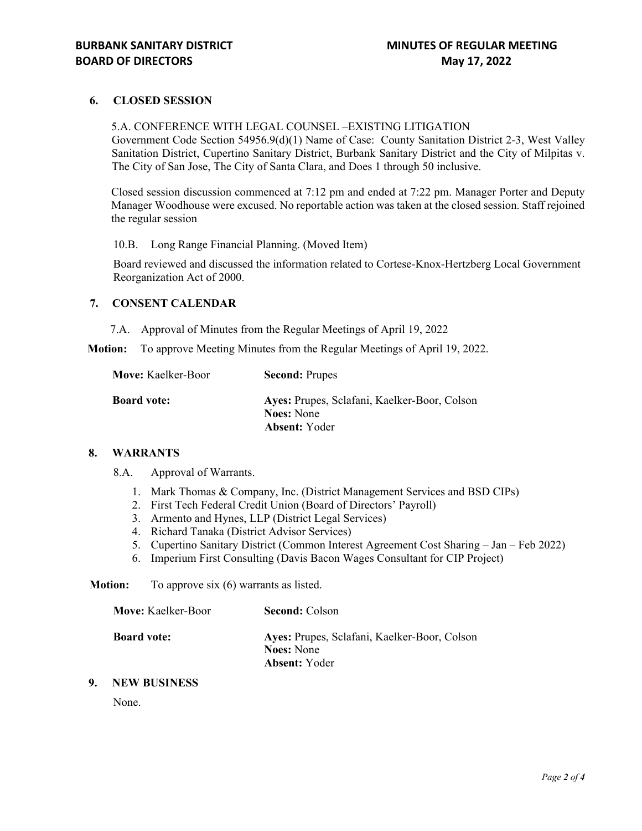## **6. CLOSED SESSION**

### 5.A. CONFERENCE WITH LEGAL COUNSEL –EXISTING LITIGATION

Government Code Section 54956.9(d)(1) Name of Case: County Sanitation District 2-3, West Valley Sanitation District, Cupertino Sanitary District, Burbank Sanitary District and the City of Milpitas v. The City of San Jose, The City of Santa Clara, and Does 1 through 50 inclusive.

Closed session discussion commenced at 7:12 pm and ended at 7:22 pm. Manager Porter and Deputy Manager Woodhouse were excused. No reportable action was taken at the closed session. Staff rejoined the regular session

10.B. Long Range Financial Planning. (Moved Item)

Board reviewed and discussed the information related to Cortese-Knox-Hertzberg Local Government Reorganization Act of 2000.

### **7. CONSENT CALENDAR**

7.A. Approval of Minutes from the Regular Meetings of April 19, 2022

**Motion:** To approve Meeting Minutes from the Regular Meetings of April 19, 2022.

| <b>Move:</b> Kaelker-Boor | <b>Second: Prupes</b>                                             |
|---------------------------|-------------------------------------------------------------------|
| <b>Board vote:</b>        | Ayes: Prupes, Sclafani, Kaelker-Boor, Colson<br><b>Noes:</b> None |
|                           | <b>Absent:</b> Yoder                                              |

#### **8. WARRANTS**

8.A. Approval of Warrants.

- 1. Mark Thomas & Company, Inc. (District Management Services and BSD CIPs)
- 2. First Tech Federal Credit Union (Board of Directors' Payroll)
- 3. Armento and Hynes, LLP (District Legal Services)
- 4. Richard Tanaka (District Advisor Services)
- 5. Cupertino Sanitary District (Common Interest Agreement Cost Sharing Jan Feb 2022)
- 6. Imperium First Consulting (Davis Bacon Wages Consultant for CIP Project)

#### **Motion:** To approve six (6) warrants as listed.

| <b>Move:</b> Kaelker-Boor | <b>Second: Colson</b>                                                                     |
|---------------------------|-------------------------------------------------------------------------------------------|
| <b>Board vote:</b>        | Ayes: Prupes, Sclafani, Kaelker-Boor, Colson<br><b>Noes:</b> None<br><b>Absent:</b> Yoder |

### **9. NEW BUSINESS**

None.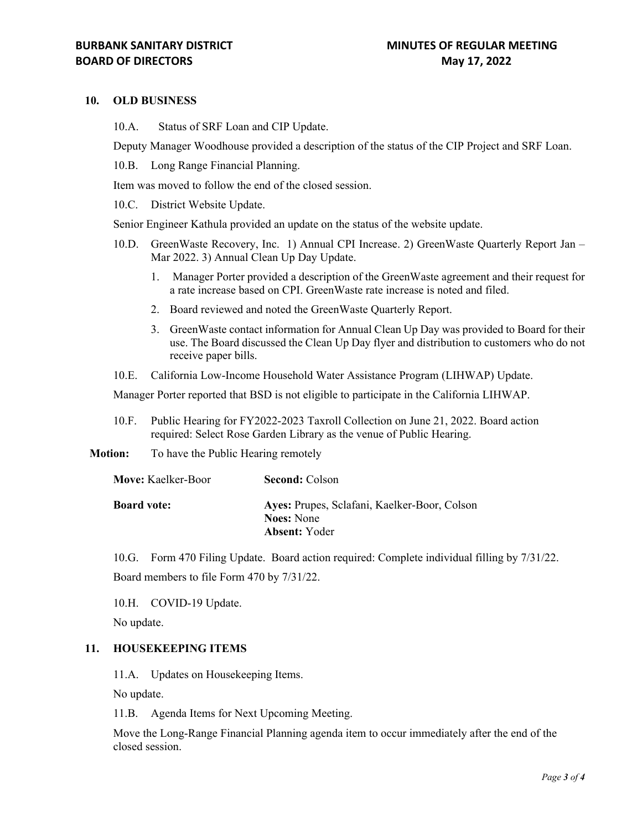### **10. OLD BUSINESS**

10.A. Status of SRF Loan and CIP Update.

Deputy Manager Woodhouse provided a description of the status of the CIP Project and SRF Loan.

10.B. Long Range Financial Planning.

Item was moved to follow the end of the closed session.

10.C. District Website Update.

Senior Engineer Kathula provided an update on the status of the website update.

- 10.D. GreenWaste Recovery, Inc. 1) Annual CPI Increase. 2) GreenWaste Quarterly Report Jan Mar 2022. 3) Annual Clean Up Day Update.
	- 1. Manager Porter provided a description of the GreenWaste agreement and their request for a rate increase based on CPI. GreenWaste rate increase is noted and filed.
	- 2. Board reviewed and noted the GreenWaste Quarterly Report.
	- 3. GreenWaste contact information for Annual Clean Up Day was provided to Board for their use. The Board discussed the Clean Up Day flyer and distribution to customers who do not receive paper bills.
- 10.E. California Low-Income Household Water Assistance Program (LIHWAP) Update.

Manager Porter reported that BSD is not eligible to participate in the California LIHWAP.

10.F. Public Hearing for FY2022-2023 Taxroll Collection on June 21, 2022. Board action required: Select Rose Garden Library as the venue of Public Hearing.

**Motion:** To have the Public Hearing remotely

| <b>Move:</b> Kaelker-Boor | <b>Second: Colson</b>                                             |
|---------------------------|-------------------------------------------------------------------|
| <b>Board vote:</b>        | Ayes: Prupes, Sclafani, Kaelker-Boor, Colson<br><b>Noes:</b> None |
|                           | <b>Absent:</b> Yoder                                              |

10.G. Form 470 Filing Update. Board action required: Complete individual filling by 7/31/22. Board members to file Form 470 by 7/31/22.

10.H. COVID-19 Update.

No update.

### **11. HOUSEKEEPING ITEMS**

11.A. Updates on Housekeeping Items.

No update.

11.B. Agenda Items for Next Upcoming Meeting.

Move the Long-Range Financial Planning agenda item to occur immediately after the end of the closed session.